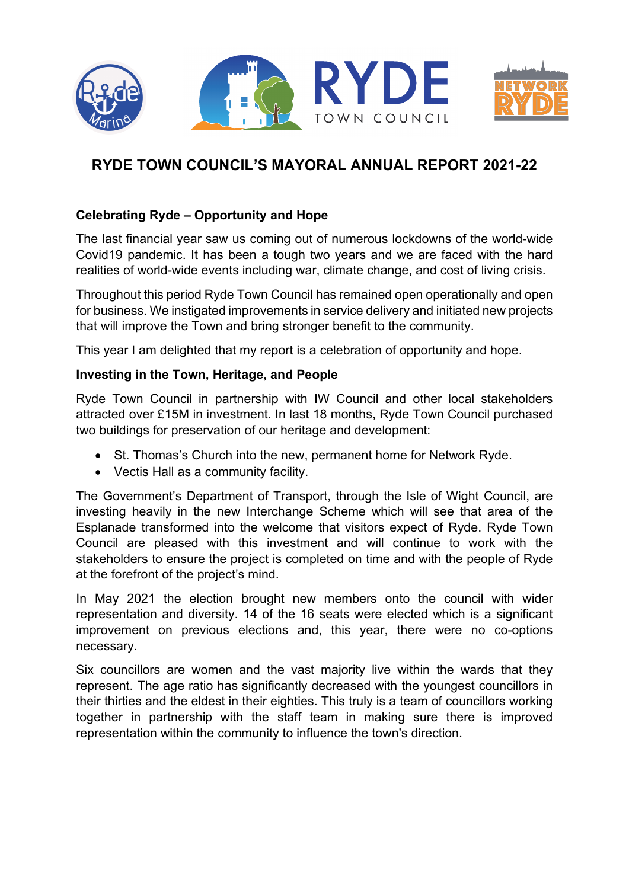

# **RYDE TOWN COUNCIL'S MAYORAL ANNUAL REPORT 2021-22**

# **Celebrating Ryde – Opportunity and Hope**

The last financial year saw us coming out of numerous lockdowns of the world-wide Covid19 pandemic. It has been a tough two years and we are faced with the hard realities of world-wide events including war, climate change, and cost of living crisis.

Throughout this period Ryde Town Council has remained open operationally and open for business. We instigated improvements in service delivery and initiated new projects that will improve the Town and bring stronger benefit to the community.

This year I am delighted that my report is a celebration of opportunity and hope.

#### **Investing in the Town, Heritage, and People**

Ryde Town Council in partnership with IW Council and other local stakeholders attracted over £15M in investment. In last 18 months, Ryde Town Council purchased two buildings for preservation of our heritage and development:

- St. Thomas's Church into the new, permanent home for Network Ryde.
- Vectis Hall as a community facility.

The Government's Department of Transport, through the Isle of Wight Council, are investing heavily in the new Interchange Scheme which will see that area of the Esplanade transformed into the welcome that visitors expect of Ryde. Ryde Town Council are pleased with this investment and will continue to work with the stakeholders to ensure the project is completed on time and with the people of Ryde at the forefront of the project's mind.

In May 2021 the election brought new members onto the council with wider representation and diversity. 14 of the 16 seats were elected which is a significant improvement on previous elections and, this year, there were no co-options necessary.

Six councillors are women and the vast majority live within the wards that they represent. The age ratio has significantly decreased with the youngest councillors in their thirties and the eldest in their eighties. This truly is a team of councillors working together in partnership with the staff team in making sure there is improved representation within the community to influence the town's direction.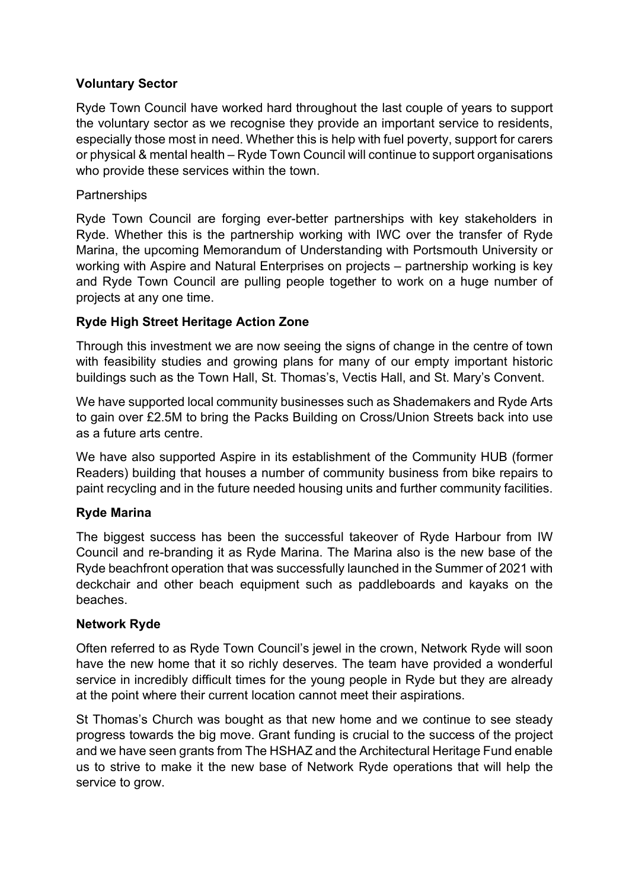### **Voluntary Sector**

Ryde Town Council have worked hard throughout the last couple of years to support the voluntary sector as we recognise they provide an important service to residents, especially those most in need. Whether this is help with fuel poverty, support for carers or physical & mental health – Ryde Town Council will continue to support organisations who provide these services within the town.

### **Partnerships**

Ryde Town Council are forging ever-better partnerships with key stakeholders in Ryde. Whether this is the partnership working with IWC over the transfer of Ryde Marina, the upcoming Memorandum of Understanding with Portsmouth University or working with Aspire and Natural Enterprises on projects – partnership working is key and Ryde Town Council are pulling people together to work on a huge number of projects at any one time.

# **Ryde High Street Heritage Action Zone**

Through this investment we are now seeing the signs of change in the centre of town with feasibility studies and growing plans for many of our empty important historic buildings such as the Town Hall, St. Thomas's, Vectis Hall, and St. Mary's Convent.

We have supported local community businesses such as Shademakers and Ryde Arts to gain over £2.5M to bring the Packs Building on Cross/Union Streets back into use as a future arts centre.

We have also supported Aspire in its establishment of the Community HUB (former Readers) building that houses a number of community business from bike repairs to paint recycling and in the future needed housing units and further community facilities.

# **Ryde Marina**

The biggest success has been the successful takeover of Ryde Harbour from IW Council and re-branding it as Ryde Marina. The Marina also is the new base of the Ryde beachfront operation that was successfully launched in the Summer of 2021 with deckchair and other beach equipment such as paddleboards and kayaks on the beaches.

#### **Network Ryde**

Often referred to as Ryde Town Council's jewel in the crown, Network Ryde will soon have the new home that it so richly deserves. The team have provided a wonderful service in incredibly difficult times for the young people in Ryde but they are already at the point where their current location cannot meet their aspirations.

St Thomas's Church was bought as that new home and we continue to see steady progress towards the big move. Grant funding is crucial to the success of the project and we have seen grants from The HSHAZ and the Architectural Heritage Fund enable us to strive to make it the new base of Network Ryde operations that will help the service to grow.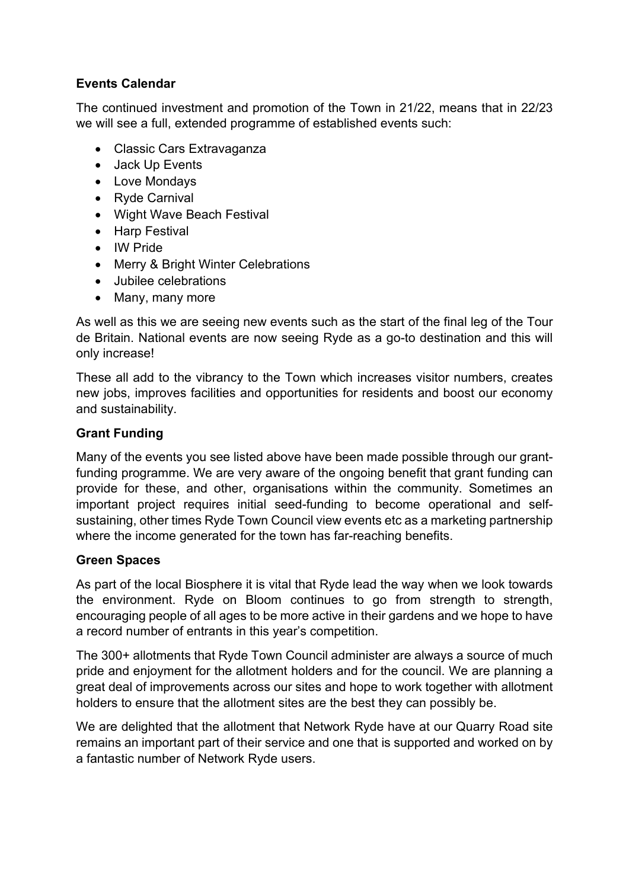# **Events Calendar**

The continued investment and promotion of the Town in 21/22, means that in 22/23 we will see a full, extended programme of established events such:

- Classic Cars Extravaganza
- Jack Up Events
- Love Mondays
- Ryde Carnival
- Wight Wave Beach Festival
- Harp Festival
- IW Pride
- Merry & Bright Winter Celebrations
- Jubilee celebrations
- Many, many more

As well as this we are seeing new events such as the start of the final leg of the Tour de Britain. National events are now seeing Ryde as a go-to destination and this will only increase!

These all add to the vibrancy to the Town which increases visitor numbers, creates new jobs, improves facilities and opportunities for residents and boost our economy and sustainability.

# **Grant Funding**

Many of the events you see listed above have been made possible through our grantfunding programme. We are very aware of the ongoing benefit that grant funding can provide for these, and other, organisations within the community. Sometimes an important project requires initial seed-funding to become operational and selfsustaining, other times Ryde Town Council view events etc as a marketing partnership where the income generated for the town has far-reaching benefits.

# **Green Spaces**

As part of the local Biosphere it is vital that Ryde lead the way when we look towards the environment. Ryde on Bloom continues to go from strength to strength, encouraging people of all ages to be more active in their gardens and we hope to have a record number of entrants in this year's competition.

The 300+ allotments that Ryde Town Council administer are always a source of much pride and enjoyment for the allotment holders and for the council. We are planning a great deal of improvements across our sites and hope to work together with allotment holders to ensure that the allotment sites are the best they can possibly be.

We are delighted that the allotment that Network Ryde have at our Quarry Road site remains an important part of their service and one that is supported and worked on by a fantastic number of Network Ryde users.